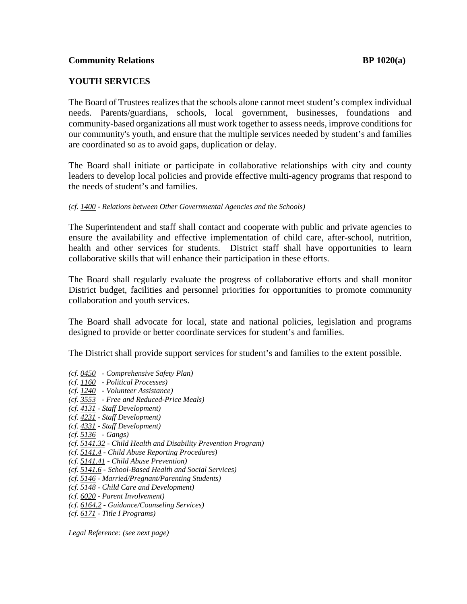## **YOUTH SERVICES**

The Board of Trustees realizes that the schools alone cannot meet student's complex individual needs. Parents/guardians, schools, local government, businesses, foundations and community-based organizations all must work together to assess needs, improve conditions for our community's youth, and ensure that the multiple services needed by student's and families are coordinated so as to avoid gaps, duplication or delay.

The Board shall initiate or participate in collaborative relationships with city and county leaders to develop local policies and provide effective multi-agency programs that respond to the needs of student's and families.

The Superintendent and staff shall contact and cooperate with public and private agencies to ensure the availability and effective implementation of child care, after-school, nutrition, health and other services for students. District staff shall have opportunities to learn collaborative skills that will enhance their participation in these efforts.

The Board shall regularly evaluate the progress of collaborative efforts and shall monitor District budget, facilities and personnel priorities for opportunities to promote community collaboration and youth services.

The Board shall advocate for local, state and national policies, legislation and programs designed to provide or better coordinate services for student's and families.

The District shall provide support services for student's and families to the extent possible.

- *(cf. 0450 Comprehensive Safety Plan)*
- *(cf. 1160 Political Processes)*
- *(cf. 1240 Volunteer Assistance)*
- *(cf. 3553 Free and Reduced-Price Meals)*
- *(cf. 4131 Staff Development)*
- *(cf. 4231 Staff Development)*
- *(cf. 4331 Staff Development)*
- *(cf. 5136 Gangs)*
- *(cf. 5141.32 Child Health and Disability Prevention Program)*
- *(cf. 5141.4 Child Abuse Reporting Procedures)*
- *(cf. 5141.41 Child Abuse Prevention)*
- *(cf. 5141.6 School-Based Health and Social Services)*
- *(cf. 5146 Married/Pregnant/Parenting Students)*
- *(cf. 5148 Child Care and Development)*
- *(cf. 6020 Parent Involvement)*
- *(cf. 6164.2 Guidance/Counseling Services)*
- *(cf. 6171 Title I Programs)*

*Legal Reference: (see next page)* 

*<sup>(</sup>cf. 1400 - Relations between Other Governmental Agencies and the Schools)*